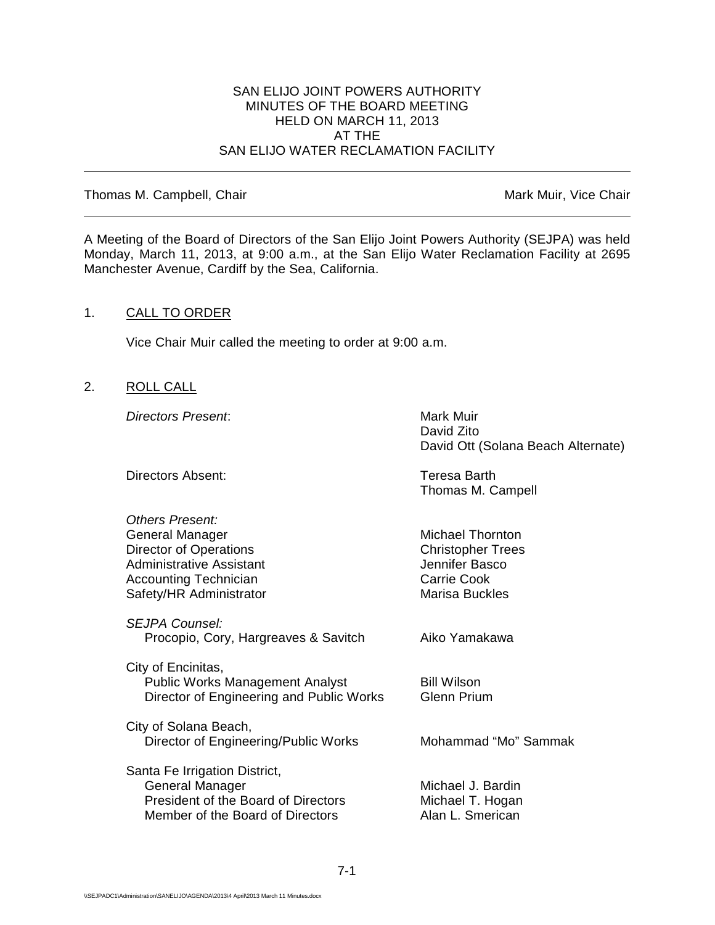#### SAN ELIJO JOINT POWERS AUTHORITY MINUTES OF THE BOARD MEETING HELD ON MARCH 11, 2013 AT THE SAN ELIJO WATER RECLAMATION FACILITY

Thomas M. Campbell, Chair Mark Muir, Vice Chair Muir, Vice Chair

A Meeting of the Board of Directors of the San Elijo Joint Powers Authority (SEJPA) was held Monday, March 11, 2013, at 9:00 a.m., at the San Elijo Water Reclamation Facility at 2695 Manchester Avenue, Cardiff by the Sea, California.

# 1. CALL TO ORDER

Vice Chair Muir called the meeting to order at 9:00 a.m.

2. ROLL CALL

**Directors Present:** Mark Muir

David Zito David Ott (Solana Beach Alternate)

| Directors Absent:                                                                                                                                          | Teresa Barth<br>Thomas M. Campell                                                               |
|------------------------------------------------------------------------------------------------------------------------------------------------------------|-------------------------------------------------------------------------------------------------|
| Others Present:<br>General Manager<br>Director of Operations<br><b>Administrative Assistant</b><br><b>Accounting Technician</b><br>Safety/HR Administrator | Michael Thornton<br><b>Christopher Trees</b><br>Jennifer Basco<br>Carrie Cook<br>Marisa Buckles |
| SEJPA Counsel:<br>Procopio, Cory, Hargreaves & Savitch                                                                                                     | Aiko Yamakawa                                                                                   |
| City of Encinitas,<br><b>Public Works Management Analyst</b><br>Director of Engineering and Public Works                                                   | <b>Bill Wilson</b><br><b>Glenn Prium</b>                                                        |
| City of Solana Beach,<br>Director of Engineering/Public Works                                                                                              | Mohammad "Mo" Sammak                                                                            |
| Santa Fe Irrigation District,<br>General Manager<br>President of the Board of Directors<br>Member of the Board of Directors                                | Michael J. Bardin<br>Michael T. Hogan<br>Alan L. Smerican                                       |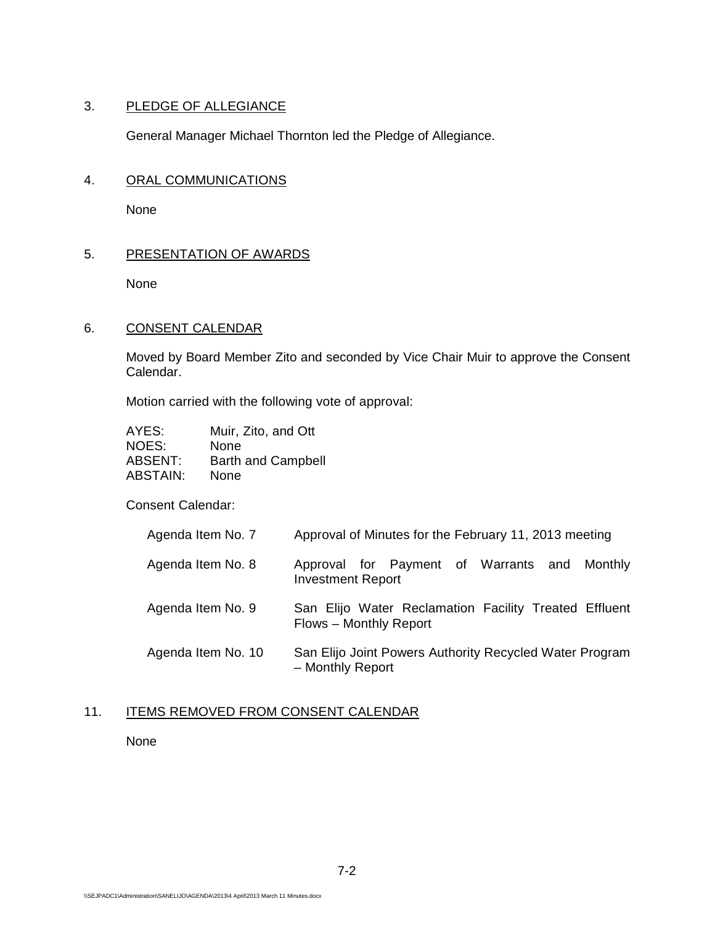# 3. PLEDGE OF ALLEGIANCE

General Manager Michael Thornton led the Pledge of Allegiance.

## 4. ORAL COMMUNICATIONS

None

# 5. PRESENTATION OF AWARDS

None

# 6. CONSENT CALENDAR

Moved by Board Member Zito and seconded by Vice Chair Muir to approve the Consent Calendar.

Motion carried with the following vote of approval:

| AYES:    | Muir, Zito, and Ott       |
|----------|---------------------------|
| NOES:    | None                      |
| ABSENT:  | <b>Barth and Campbell</b> |
| ABSTAIN: | None                      |

Consent Calendar:

| Agenda Item No. 7  | Approval of Minutes for the February 11, 2013 meeting                           |
|--------------------|---------------------------------------------------------------------------------|
| Agenda Item No. 8  | Approval for Payment of Warrants and Monthly<br><b>Investment Report</b>        |
| Agenda Item No. 9  | San Elijo Water Reclamation Facility Treated Effluent<br>Flows - Monthly Report |
| Agenda Item No. 10 | San Elijo Joint Powers Authority Recycled Water Program<br>- Monthly Report     |

## 11. ITEMS REMOVED FROM CONSENT CALENDAR

None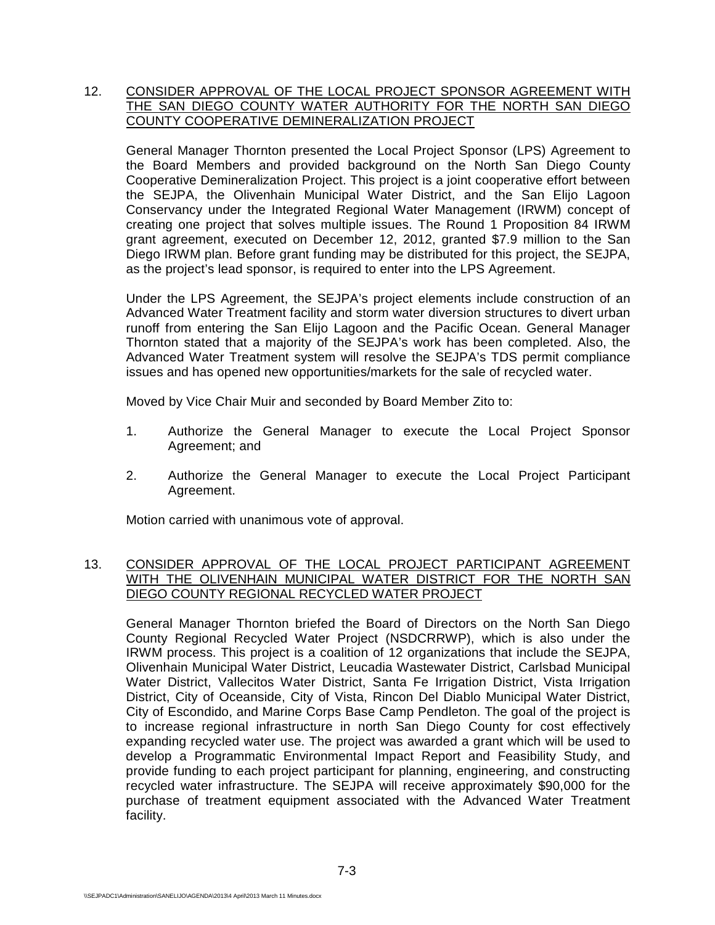# 12. CONSIDER APPROVAL OF THE LOCAL PROJECT SPONSOR AGREEMENT WITH THE SAN DIEGO COUNTY WATER AUTHORITY FOR THE NORTH SAN DIEGO COUNTY COOPERATIVE DEMINERALIZATION PROJECT

General Manager Thornton presented the Local Project Sponsor (LPS) Agreement to the Board Members and provided background on the North San Diego County Cooperative Demineralization Project. This project is a joint cooperative effort between the SEJPA, the Olivenhain Municipal Water District, and the San Elijo Lagoon Conservancy under the Integrated Regional Water Management (IRWM) concept of creating one project that solves multiple issues. The Round 1 Proposition 84 IRWM grant agreement, executed on December 12, 2012, granted \$7.9 million to the San Diego IRWM plan. Before grant funding may be distributed for this project, the SEJPA, as the project's lead sponsor, is required to enter into the LPS Agreement.

Under the LPS Agreement, the SEJPA's project elements include construction of an Advanced Water Treatment facility and storm water diversion structures to divert urban runoff from entering the San Elijo Lagoon and the Pacific Ocean. General Manager Thornton stated that a majority of the SEJPA's work has been completed. Also, the Advanced Water Treatment system will resolve the SEJPA's TDS permit compliance issues and has opened new opportunities/markets for the sale of recycled water.

Moved by Vice Chair Muir and seconded by Board Member Zito to:

- 1. Authorize the General Manager to execute the Local Project Sponsor Agreement; and
- 2. Authorize the General Manager to execute the Local Project Participant Agreement.

Motion carried with unanimous vote of approval.

## 13. CONSIDER APPROVAL OF THE LOCAL PROJECT PARTICIPANT AGREEMENT WITH THE OLIVENHAIN MUNICIPAL WATER DISTRICT FOR THE NORTH SAN DIEGO COUNTY REGIONAL RECYCLED WATER PROJECT

General Manager Thornton briefed the Board of Directors on the North San Diego County Regional Recycled Water Project (NSDCRRWP), which is also under the IRWM process. This project is a coalition of 12 organizations that include the SEJPA, Olivenhain Municipal Water District, Leucadia Wastewater District, Carlsbad Municipal Water District, Vallecitos Water District, Santa Fe Irrigation District, Vista Irrigation District, City of Oceanside, City of Vista, Rincon Del Diablo Municipal Water District, City of Escondido, and Marine Corps Base Camp Pendleton. The goal of the project is to increase regional infrastructure in north San Diego County for cost effectively expanding recycled water use. The project was awarded a grant which will be used to develop a Programmatic Environmental Impact Report and Feasibility Study, and provide funding to each project participant for planning, engineering, and constructing recycled water infrastructure. The SEJPA will receive approximately \$90,000 for the purchase of treatment equipment associated with the Advanced Water Treatment facility.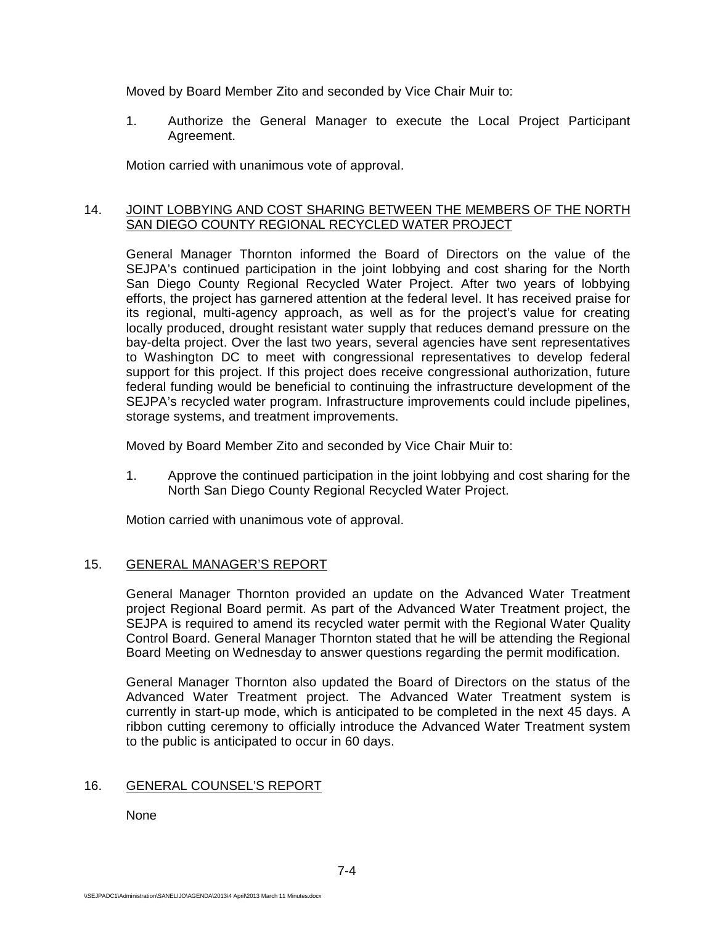Moved by Board Member Zito and seconded by Vice Chair Muir to:

1. Authorize the General Manager to execute the Local Project Participant Agreement.

Motion carried with unanimous vote of approval.

# 14. JOINT LOBBYING AND COST SHARING BETWEEN THE MEMBERS OF THE NORTH SAN DIEGO COUNTY REGIONAL RECYCLED WATER PROJECT

General Manager Thornton informed the Board of Directors on the value of the SEJPA's continued participation in the joint lobbying and cost sharing for the North San Diego County Regional Recycled Water Project. After two years of lobbying efforts, the project has garnered attention at the federal level. It has received praise for its regional, multi-agency approach, as well as for the project's value for creating locally produced, drought resistant water supply that reduces demand pressure on the bay-delta project. Over the last two years, several agencies have sent representatives to Washington DC to meet with congressional representatives to develop federal support for this project. If this project does receive congressional authorization, future federal funding would be beneficial to continuing the infrastructure development of the SEJPA's recycled water program. Infrastructure improvements could include pipelines, storage systems, and treatment improvements.

Moved by Board Member Zito and seconded by Vice Chair Muir to:

1. Approve the continued participation in the joint lobbying and cost sharing for the North San Diego County Regional Recycled Water Project.

Motion carried with unanimous vote of approval.

# 15. GENERAL MANAGER'S REPORT

General Manager Thornton provided an update on the Advanced Water Treatment project Regional Board permit. As part of the Advanced Water Treatment project, the SEJPA is required to amend its recycled water permit with the Regional Water Quality Control Board. General Manager Thornton stated that he will be attending the Regional Board Meeting on Wednesday to answer questions regarding the permit modification.

General Manager Thornton also updated the Board of Directors on the status of the Advanced Water Treatment project. The Advanced Water Treatment system is currently in start-up mode, which is anticipated to be completed in the next 45 days. A ribbon cutting ceremony to officially introduce the Advanced Water Treatment system to the public is anticipated to occur in 60 days.

#### 16. GENERAL COUNSEL'S REPORT

None